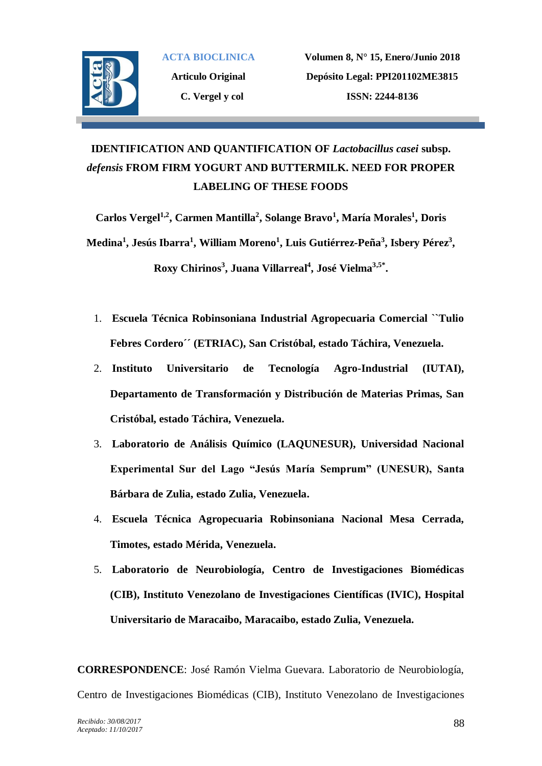

**Articulo Original C. Vergel y col**

**Volumen 8, N° 15, Enero/Junio 2018 Depósito Legal: PPI201102ME3815 ISSN: 2244-8136**

## **IDENTIFICATION AND QUANTIFICATION OF** *Lactobacillus casei* **subsp.**  *defensis* **FROM FIRM YOGURT AND BUTTERMILK. NEED FOR PROPER LABELING OF THESE FOODS**

**Carlos Vergel1,2, Carmen Mantilla<sup>2</sup> , Solange Bravo<sup>1</sup> , María Morales<sup>1</sup> , Doris Medina<sup>1</sup> , Jesús Ibarra<sup>1</sup> , William Moreno<sup>1</sup> , Luis Gutiérrez-Peña<sup>3</sup> , Isbery Pérez<sup>3</sup> , Roxy Chirinos<sup>3</sup> , Juana Villarreal<sup>4</sup> , José Vielma3,5\* .**

- 1. **Escuela Técnica Robinsoniana Industrial Agropecuaria Comercial ``Tulio Febres Cordero´´ (ETRIAC), San Cristóbal, estado Táchira, Venezuela.**
- 2. **Instituto Universitario de Tecnología Agro-Industrial (IUTAI), Departamento de Transformación y Distribución de Materias Primas, San Cristóbal, estado Táchira, Venezuela.**
- 3. **Laboratorio de Análisis Químico (LAQUNESUR), Universidad Nacional Experimental Sur del Lago "Jesús María Semprum" (UNESUR), Santa Bárbara de Zulia, estado Zulia, Venezuela.**
- 4. **Escuela Técnica Agropecuaria Robinsoniana Nacional Mesa Cerrada, Timotes, estado Mérida, Venezuela.**
- 5. **Laboratorio de Neurobiología, Centro de Investigaciones Biomédicas (CIB), Instituto Venezolano de Investigaciones Científicas (IVIC), Hospital Universitario de Maracaibo, Maracaibo, estado Zulia, Venezuela.**

**CORRESPONDENCE**: José Ramón Vielma Guevara. Laboratorio de Neurobiología, Centro de Investigaciones Biomédicas (CIB), Instituto Venezolano de Investigaciones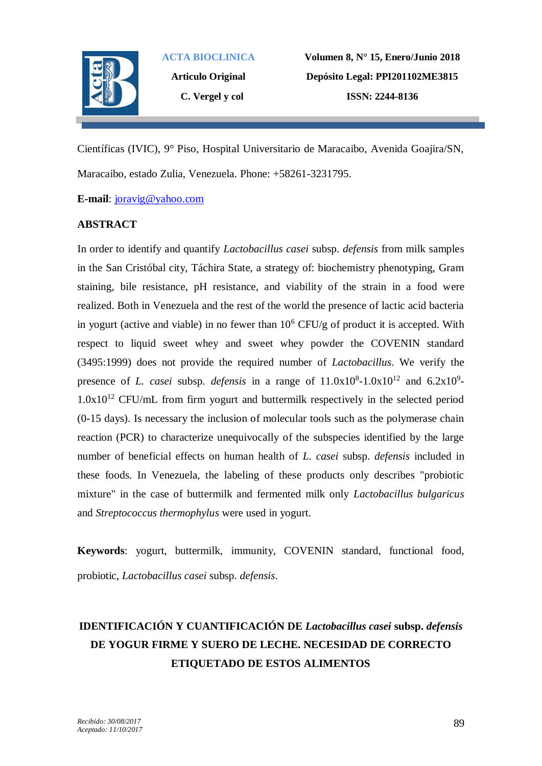

**Articulo Original C. Vergel y col**

**Volumen 8, N° 15, Enero/Junio 2018 Depósito Legal: PPI201102ME3815 ISSN: 2244-8136**

Científicas (IVIC), 9° Piso, Hospital Universitario de Maracaibo, Avenida Goajira/SN, Maracaibo, estado Zulia, Venezuela. Phone: +58261-3231795.

**E-mail**: [joravig@yahoo.com](mailto:joravig@yahoo.com)

## **ABSTRACT**

In order to identify and quantify *Lactobacillus casei* subsp. *defensis* from milk samples in the San Cristóbal city, Táchira State, a strategy of: biochemistry phenotyping, Gram staining, bile resistance, pH resistance, and viability of the strain in a food were realized. Both in Venezuela and the rest of the world the presence of lactic acid bacteria in yogurt (active and viable) in no fewer than  $10^6$  CFU/g of product it is accepted. With respect to liquid sweet whey and sweet whey powder the COVENIN standard (3495:1999) does not provide the required number of *Lactobacillus*. We verify the presence of *L. casei* subsp. *defensis* in a range of  $11.0x10^8$ -1.0x10<sup>12</sup> and  $6.2x10^9$ - $1.0x10^{12}$  CFU/mL from firm yogurt and buttermilk respectively in the selected period (0-15 days). Is necessary the inclusion of molecular tools such as the polymerase chain reaction (PCR) to characterize unequivocally of the subspecies identified by the large number of beneficial effects on human health of *L. casei* subsp. *defensis* included in these foods. In Venezuela, the labeling of these products only describes "probiotic mixture" in the case of buttermilk and fermented milk only *Lactobacillus bulgaricus* and *Streptococcus thermophylus* were used in yogurt.

**Keywords**: yogurt, buttermilk, immunity, COVENIN standard, functional food, probiotic, *Lactobacillus casei* subsp. *defensis*.

# **IDENTIFICACIÓN Y CUANTIFICACIÓN DE** *Lactobacillus casei* **subsp.** *defensis* **DE YOGUR FIRME Y SUERO DE LECHE. NECESIDAD DE CORRECTO ETIQUETADO DE ESTOS ALIMENTOS**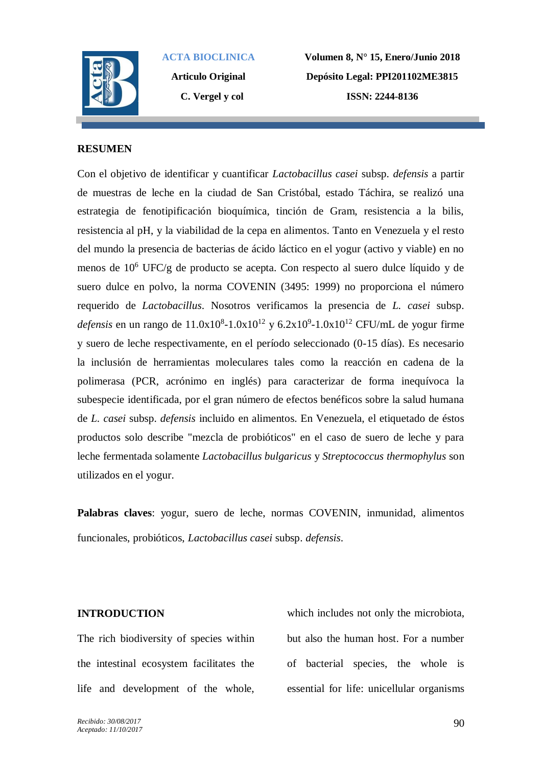

**Articulo Original C. Vergel y col**

**Volumen 8, N° 15, Enero/Junio 2018 Depósito Legal: PPI201102ME3815 ISSN: 2244-8136**

### **RESUMEN**

Con el objetivo de identificar y cuantificar *Lactobacillus casei* subsp. *defensis* a partir de muestras de leche en la ciudad de San Cristóbal, estado Táchira, se realizó una estrategia de fenotipificación bioquímica, tinción de Gram, resistencia a la bilis, resistencia al pH, y la viabilidad de la cepa en alimentos. Tanto en Venezuela y el resto del mundo la presencia de bacterias de ácido láctico en el yogur (activo y viable) en no menos de 10<sup>6</sup> UFC/g de producto se acepta. Con respecto al suero dulce líquido y de suero dulce en polvo, la norma COVENIN (3495: 1999) no proporciona el número requerido de *Lactobacillus*. Nosotros verificamos la presencia de *L. casei* subsp. *defensis* en un rango de  $11.0x10^{8} - 1.0x10^{12}$  y  $6.2x10^{9} - 1.0x10^{12}$  CFU/mL de yogur firme y suero de leche respectivamente, en el período seleccionado (0-15 días). Es necesario la inclusión de herramientas moleculares tales como la reacción en cadena de la polimerasa (PCR, acrónimo en inglés) para caracterizar de forma inequívoca la subespecie identificada, por el gran número de efectos benéficos sobre la salud humana de *L. casei* subsp. *defensis* incluido en alimentos. En Venezuela, el etiquetado de éstos productos solo describe "mezcla de probióticos" en el caso de suero de leche y para leche fermentada solamente *Lactobacillus bulgaricus* y *Streptococcus thermophylus* son utilizados en el yogur.

**Palabras claves**: yogur, suero de leche, normas COVENIN, inmunidad, alimentos funcionales, probióticos, *Lactobacillus casei* subsp. *defensis*.

### **INTRODUCTION**

The rich biodiversity of species within the intestinal ecosystem facilitates the life and development of the whole,

which includes not only the microbiota, but also the human host. For a number of bacterial species, the whole is essential for life: unicellular organisms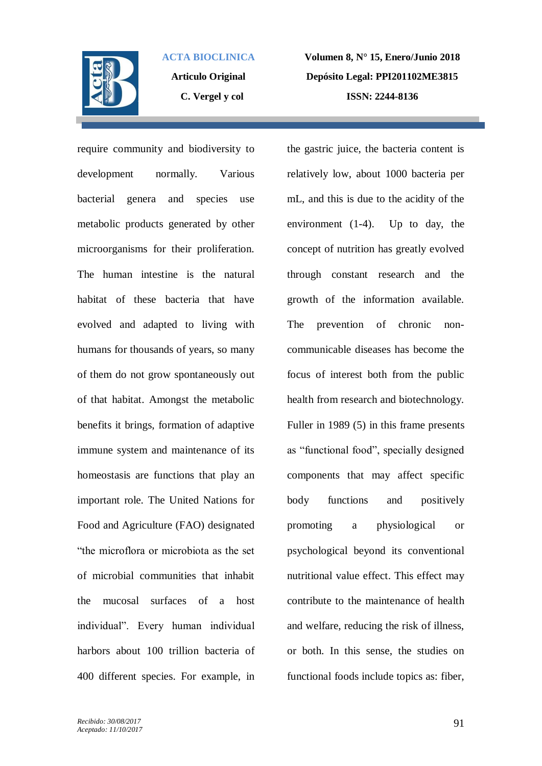

**Articulo Original C. Vergel y col**

**Volumen 8, N° 15, Enero/Junio 2018 Depósito Legal: PPI201102ME3815 ISSN: 2244-8136**

require community and biodiversity to development normally. Various bacterial genera and species use metabolic products generated by other microorganisms for their proliferation. The human intestine is the natural habitat of these bacteria that have evolved and adapted to living with humans for thousands of years, so many of them do not grow spontaneously out of that habitat. Amongst the metabolic benefits it brings, formation of adaptive immune system and maintenance of its homeostasis are functions that play an important role. The United Nations for Food and Agriculture (FAO) designated "the microflora or microbiota as the set of microbial communities that inhabit the mucosal surfaces of a host individual". Every human individual harbors about 100 trillion bacteria of 400 different species. For example, in the gastric juice, the bacteria content is relatively low, about 1000 bacteria per mL, and this is due to the acidity of the environment (1-4). Up to day, the concept of nutrition has greatly evolved through constant research and the growth of the information available. The prevention of chronic noncommunicable diseases has become the focus of interest both from the public health from research and biotechnology. Fuller in 1989 (5) in this frame presents as "functional food", specially designed components that may affect specific body functions and positively promoting a physiological or psychological beyond its conventional nutritional value effect. This effect may contribute to the maintenance of health and welfare, reducing the risk of illness, or both. In this sense, the studies on functional foods include topics as: fiber,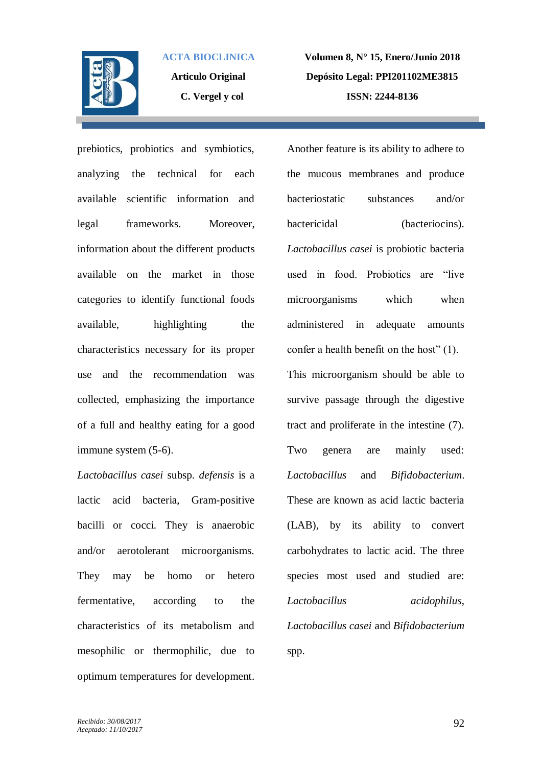

**Articulo Original C. Vergel y col**

**Volumen 8, N° 15, Enero/Junio 2018 Depósito Legal: PPI201102ME3815 ISSN: 2244-8136**

prebiotics, probiotics and symbiotics, analyzing the technical for each available scientific information and legal frameworks. Moreover, information about the different products available on the market in those categories to identify functional foods available, highlighting the characteristics necessary for its proper use and the recommendation was collected, emphasizing the importance of a full and healthy eating for a good immune system (5-6).

*Lactobacillus casei* subsp. *defensis* is a lactic acid bacteria, Gram-positive bacilli or cocci. They is anaerobic and/or aerotolerant microorganisms. They may be homo or hetero fermentative, according to the characteristics of its metabolism and mesophilic or thermophilic, due to optimum temperatures for development.

Another feature is its ability to adhere to the mucous membranes and produce bacteriostatic substances and/or bactericidal (bacteriocins). *Lactobacillus casei* is probiotic bacteria used in food. Probiotics are "live microorganisms which when administered in adequate amounts confer a health benefit on the host" (1). This microorganism should be able to survive passage through the digestive tract and proliferate in the intestine (7). Two genera are mainly used: *Lactobacillus* and *Bifidobacterium*. These are known as acid lactic bacteria (LAB), by its ability to convert carbohydrates to lactic acid. The three species most used and studied are: *Lactobacillus acidophilus*, *Lactobacillus casei* and *Bifidobacterium* spp.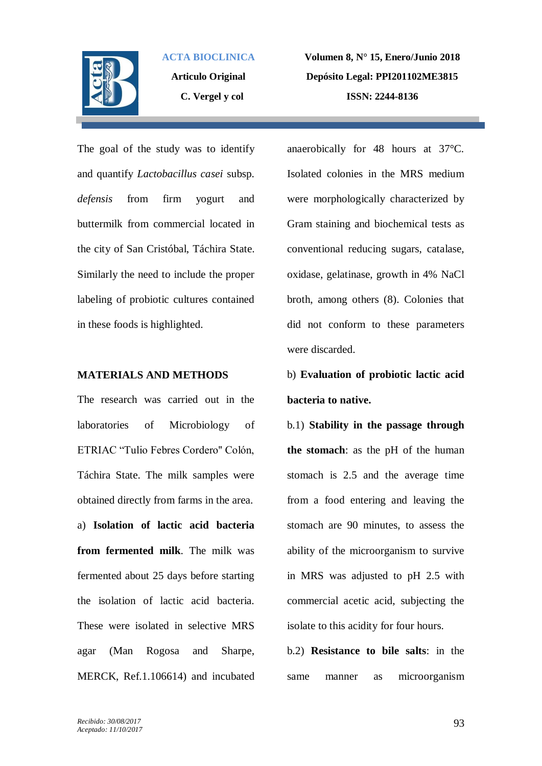

**Articulo Original C. Vergel y col**

**Volumen 8, N° 15, Enero/Junio 2018 Depósito Legal: PPI201102ME3815 ISSN: 2244-8136**

The goal of the study was to identify and quantify *Lactobacillus casei* subsp. *defensis* from firm yogurt and buttermilk from commercial located in the city of San Cristóbal, Táchira State. Similarly the need to include the proper labeling of probiotic cultures contained in these foods is highlighted.

### **MATERIALS AND METHODS**

The research was carried out in the laboratories of Microbiology of ETRIAC "Tulio Febres Cordero'' Colón, Táchira State. The milk samples were obtained directly from farms in the area. a) **Isolation of lactic acid bacteria from fermented milk**. The milk was fermented about 25 days before starting the isolation of lactic acid bacteria. These were isolated in selective MRS agar (Man Rogosa and Sharpe, MERCK, Ref.1.106614) and incubated anaerobically for 48 hours at 37°C. Isolated colonies in the MRS medium were morphologically characterized by Gram staining and biochemical tests as conventional reducing sugars, catalase, oxidase, gelatinase, growth in 4% NaCl broth, among others (8). Colonies that did not conform to these parameters were discarded.

# b) **Evaluation of probiotic lactic acid bacteria to native.**

b.1) **Stability in the passage through the stomach**: as the pH of the human stomach is 2.5 and the average time from a food entering and leaving the stomach are 90 minutes, to assess the ability of the microorganism to survive in MRS was adjusted to pH 2.5 with commercial acetic acid, subjecting the isolate to this acidity for four hours.

b.2) **Resistance to bile salts**: in the same manner as microorganism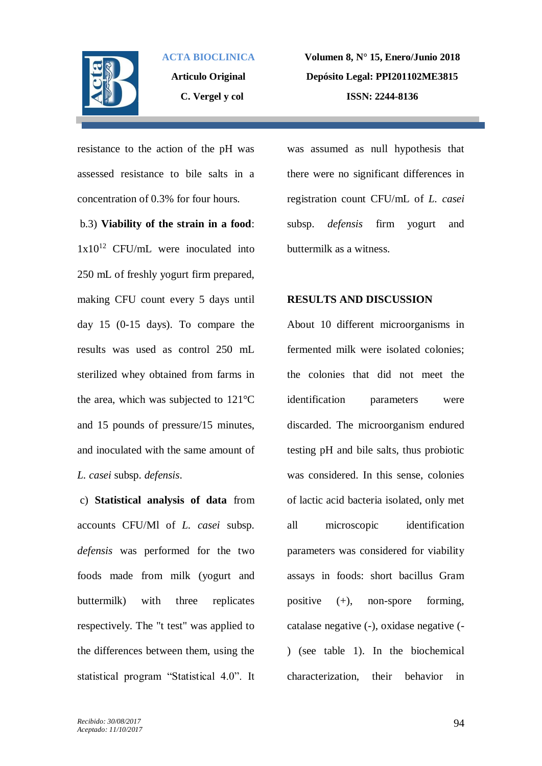

**Articulo Original C. Vergel y col**

**Volumen 8, N° 15, Enero/Junio 2018 Depósito Legal: PPI201102ME3815 ISSN: 2244-8136**

resistance to the action of the pH was assessed resistance to bile salts in a concentration of 0.3% for four hours.

b.3) **Viability of the strain in a food**:  $1x10^{12}$  CFU/mL were inoculated into 250 mL of freshly yogurt firm prepared, making CFU count every 5 days until day 15 (0-15 days). To compare the results was used as control 250 mL sterilized whey obtained from farms in the area, which was subjected to 121°C and 15 pounds of pressure/15 minutes, and inoculated with the same amount of *L. casei* subsp. *defensis*.

c) **Statistical analysis of data** from accounts CFU/Ml of *L. casei* subsp. *defensis* was performed for the two foods made from milk (yogurt and buttermilk) with three replicates respectively. The "t test" was applied to the differences between them, using the statistical program "Statistical 4.0". It was assumed as null hypothesis that there were no significant differences in registration count CFU/mL of *L. casei* subsp. *defensis* firm yogurt and buttermilk as a witness.

#### **RESULTS AND DISCUSSION**

About 10 different microorganisms in fermented milk were isolated colonies; the colonies that did not meet the identification parameters were discarded. The microorganism endured testing pH and bile salts, thus probiotic was considered. In this sense, colonies of lactic acid bacteria isolated, only met all microscopic identification parameters was considered for viability assays in foods: short bacillus Gram positive (+), non-spore forming, catalase negative (-), oxidase negative (- ) (see table 1). In the biochemical characterization, their behavior in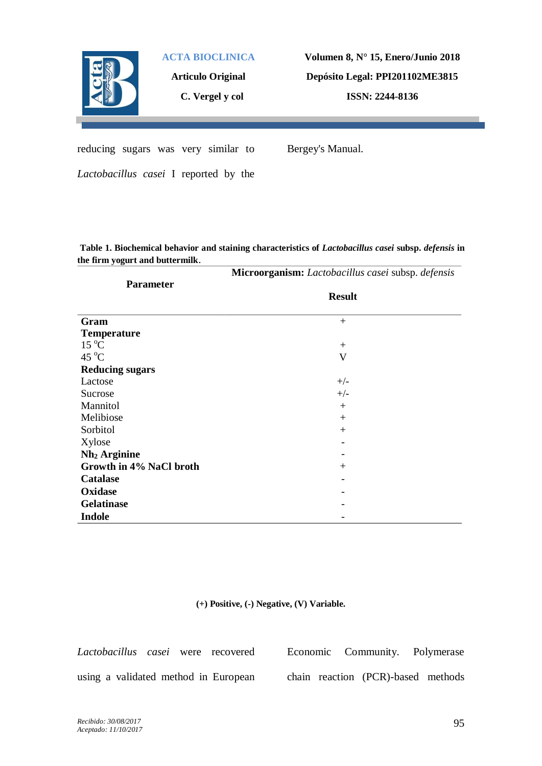

**Articulo Original**

**C. Vergel y col**

**Volumen 8, N° 15, Enero/Junio 2018 Depósito Legal: PPI201102ME3815 ISSN: 2244-8136**

reducing sugars was very similar to

Bergey's Manual.

*Lactobacillus casei* I reported by the

**Table 1. Biochemical behavior and staining characteristics of** *Lactobacillus casei* **subsp.** *defensis* **in the firm yogurt and buttermilk**.

|                          | Microorganism: Lactobacillus casei subsp. defensis |
|--------------------------|----------------------------------------------------|
| <b>Parameter</b>         |                                                    |
|                          | <b>Result</b>                                      |
| Gram                     | $+$                                                |
|                          |                                                    |
| <b>Temperature</b>       |                                                    |
| $15\text{ °C}$           | $^{+}$                                             |
| 45 $\mathrm{^{\circ}C}$  | V                                                  |
| <b>Reducing sugars</b>   |                                                    |
| Lactose                  | $+/-$                                              |
| Sucrose                  | $+/-$                                              |
| Mannitol                 | $^{+}$                                             |
| Melibiose                | $+$                                                |
| Sorbitol                 | $^{+}$                                             |
| Xylose                   |                                                    |
| Nh <sub>2</sub> Arginine |                                                    |
| Growth in 4% NaCl broth  | $+$                                                |
| <b>Catalase</b>          |                                                    |
| Oxidase                  |                                                    |
| <b>Gelatinase</b>        |                                                    |
| <b>Indole</b>            |                                                    |

**(+) Positive, (-) Negative, (V) Variable.**

*Lactobacillus casei* were recovered using a validated method in European Economic Community. Polymerase chain reaction (PCR)-based methods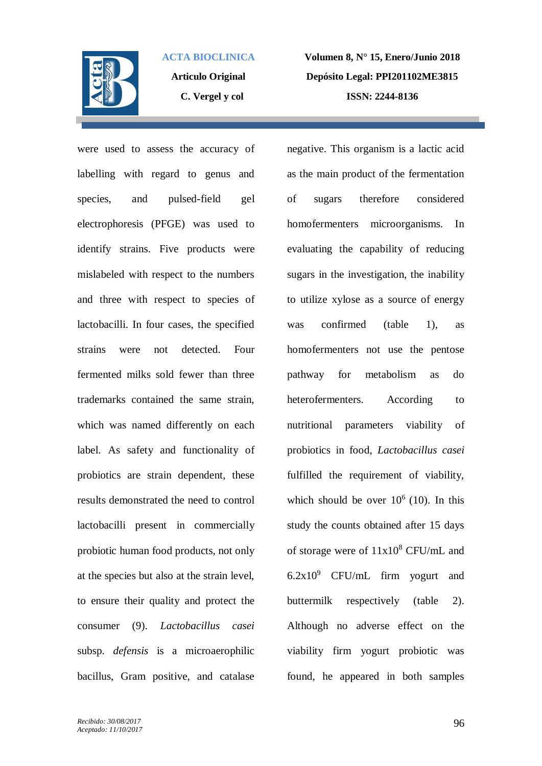

**Articulo Original C. Vergel y col**

**Volumen 8, N° 15, Enero/Junio 2018 Depósito Legal: PPI201102ME3815 ISSN: 2244-8136**

were used to assess the accuracy of labelling with regard to genus and species, and pulsed-field gel electrophoresis (PFGE) was used to identify strains. Five products were mislabeled with respect to the numbers and three with respect to species of lactobacilli. In four cases, the specified strains were not detected. Four fermented milks sold fewer than three trademarks contained the same strain, which was named differently on each label. As safety and functionality of probiotics are strain dependent, these results demonstrated the need to control lactobacilli present in commercially probiotic human food products, not only at the species but also at the strain level, to ensure their quality and protect the consumer (9). *Lactobacillus casei* subsp. *defensis* is a microaerophilic bacillus, Gram positive, and catalase

negative. This organism is a lactic acid as the main product of the fermentation of sugars therefore considered homofermenters microorganisms. In evaluating the capability of reducing sugars in the investigation, the inability to utilize xylose as a source of energy was confirmed (table 1), as homofermenters not use the pentose pathway for metabolism as do heterofermenters. According to nutritional parameters viability of probiotics in food, *Lactobacillus casei* fulfilled the requirement of viability, which should be over  $10^6$  (10). In this study the counts obtained after 15 days of storage were of  $11x10^8$  CFU/mL and  $6.2x10<sup>9</sup>$  CFU/mL firm yogurt and buttermilk respectively (table 2). Although no adverse effect on the viability firm yogurt probiotic was found, he appeared in both samples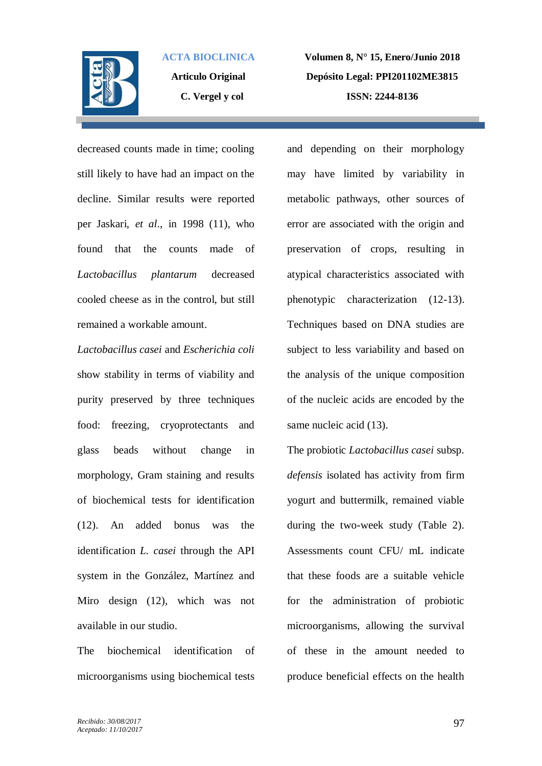

**Articulo Original C. Vergel y col**

**Volumen 8, N° 15, Enero/Junio 2018 Depósito Legal: PPI201102ME3815 ISSN: 2244-8136**

decreased counts made in time; cooling still likely to have had an impact on the decline. Similar results were reported per Jaskari, *et al*., in 1998 (11), who found that the counts made of *Lactobacillus plantarum* decreased cooled cheese as in the control, but still remained a workable amount.

*Lactobacillus casei* and *Escherichia coli* show stability in terms of viability and purity preserved by three techniques food: freezing, cryoprotectants and glass beads without change in morphology, Gram staining and results of biochemical tests for identification (12). An added bonus was the identification *L. casei* through the API system in the González, Martínez and Miro design (12), which was not available in our studio.

The biochemical identification of microorganisms using biochemical tests and depending on their morphology may have limited by variability in metabolic pathways, other sources of error are associated with the origin and preservation of crops, resulting in atypical characteristics associated with phenotypic characterization (12-13). Techniques based on DNA studies are subject to less variability and based on the analysis of the unique composition of the nucleic acids are encoded by the same nucleic acid (13).

The probiotic *Lactobacillus casei* subsp. *defensis* isolated has activity from firm yogurt and buttermilk, remained viable during the two-week study (Table 2). Assessments count CFU/ mL indicate that these foods are a suitable vehicle for the administration of probiotic microorganisms, allowing the survival of these in the amount needed to produce beneficial effects on the health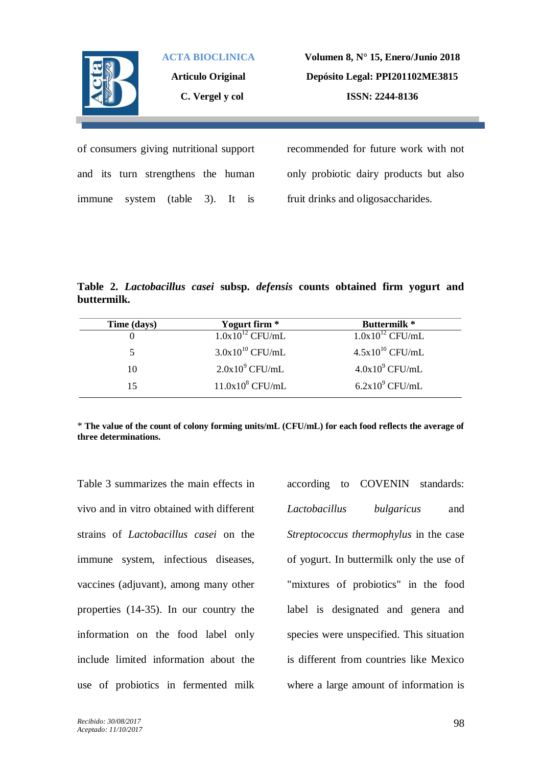

**Articulo Original C. Vergel y col**

**Volumen 8, N° 15, Enero/Junio 2018 Depósito Legal: PPI201102ME3815 ISSN: 2244-8136**

of consumers giving nutritional support and its turn strengthens the human immune system (table 3). It is

recommended for future work with not only probiotic dairy products but also fruit drinks and oligosaccharides.

**Table 2.** *Lactobacillus casei* **subsp.** *defensis* **counts obtained firm yogurt and buttermilk.**

| Time (days) | Yogurt firm *        | <b>Buttermilk</b> *  |
|-------------|----------------------|----------------------|
|             | $1.0x10^{12}$ CFU/mL | $1.0x10^{12}$ CFU/mL |
| 5           | $3.0x10^{10}$ CFU/mL | $4.5x10^{10}$ CFU/mL |
| 10          | $2.0x109$ CFU/mL     | $4.0x109$ CFU/mL     |
| 15          | $11.0x108$ CFU/mL    | $6.2x109$ CFU/mL     |

\* **The value of the count of colony forming units/mL (CFU/mL) for each food reflects the average of three determinations.**

Table 3 summarizes the main effects in vivo and in vitro obtained with different strains of *Lactobacillus casei* on the immune system, infectious diseases, vaccines (adjuvant), among many other properties (14-35). In our country the information on the food label only include limited information about the use of probiotics in fermented milk

according to COVENIN standards: *Lactobacillus bulgaricus* and *Streptococcus thermophylus* in the case of yogurt. In buttermilk only the use of "mixtures of probiotics" in the food label is designated and genera and species were unspecified. This situation is different from countries like Mexico where a large amount of information is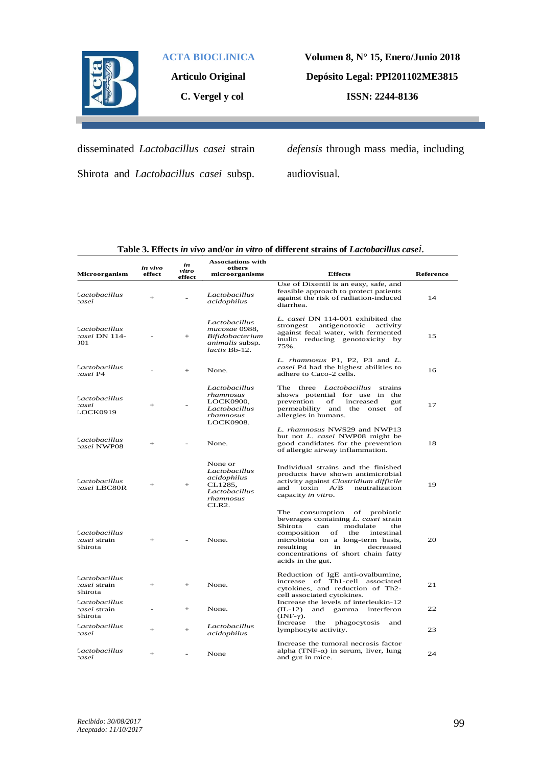

**Articulo Original**

**C. Vergel y col**

**Volumen 8, N° 15, Enero/Junio 2018 Depósito Legal: PPI201102ME3815**

**ISSN: 2244-8136**

disseminated *Lactobacillus casei* strain Shirota and *Lactobacillus casei* subsp. *defensis* through mass media, including

audiovisual.

| Table 3. Effects in vivo and/or in vitro of different strains of Lactobacillus casei. |  |  |  |
|---------------------------------------------------------------------------------------|--|--|--|
|---------------------------------------------------------------------------------------|--|--|--|

| Microorganism                                   | in vivo<br>effect | in<br>vitro<br>effect | <b>Associations with</b><br>others<br>microorganisms                                         | <b>Effects</b>                                                                                                                                                                                                                                                                            | <b>Reference</b> |
|-------------------------------------------------|-------------------|-----------------------|----------------------------------------------------------------------------------------------|-------------------------------------------------------------------------------------------------------------------------------------------------------------------------------------------------------------------------------------------------------------------------------------------|------------------|
| Lactobacillus<br>zasei                          | $+$               |                       | Lactobacillus<br>acidophilus                                                                 | Use of Dixentil is an easy, safe, and<br>feasible approach to protect patients<br>against the risk of radiation-induced<br>diarrhea.                                                                                                                                                      | 14               |
| Lactobacillus<br>casei DN 114-<br>201           |                   | $+$                   | Lactobacillus<br>mucosae 0988.<br><b>Bifidobacterium</b><br>animalis subsp.<br>lactis Bb-12. | L. casei DN 114-001 exhibited the<br>antigenotoxic<br>strongest<br>activity<br>against fecal water, with fermented<br>inulin reducing genotoxicity by<br>75%.                                                                                                                             | 15               |
| Lactobacillus<br>casei P4                       |                   | $+$                   | None.                                                                                        | L. rhamnosus P1, P2, P3 and L.<br>casei P4 had the highest abilities to<br>adhere to Caco-2 cells.                                                                                                                                                                                        | 16               |
| Lactobacillus<br>zasei<br>LOCK0919              | $+$               |                       | Lactobacillus<br>rhamnosus<br>LOCK0900,<br>Lactobacillus<br>rhamnosus<br>LOCK0908.           | The three <i>Lactobacillus</i><br>strains<br>shows potential for use in the<br>prevention<br>of<br>increased<br>gut<br>permeability and the onset of<br>allergies in humans.                                                                                                              | 17               |
| Lactobacillus<br>casei NWP08                    | $+$               |                       | None.                                                                                        | L. rhamnosus NWS29 and NWP13<br>but not <i>L. casei</i> NWP08 might be<br>good candidates for the prevention<br>of allergic airway inflammation.                                                                                                                                          | 18               |
| Lactobacillus<br>casei LBC80R                   | $^{+}$            | $+$                   | None or<br>Lactobacillus<br>acidophilus<br>CL1285,<br>Lactobacillus<br>rhamnosus<br>CLR2.    | Individual strains and the finished<br>products have shown antimicrobial<br>activity against Clostridium difficile<br>toxin<br>and<br>A/B<br>neutralization<br>capacity in vitro.                                                                                                         | 19               |
| Lactobacillus<br><i>casei</i> strain<br>Shirota | $+$               |                       | None.                                                                                        | The<br>consumption of<br>probiotic<br>beverages containing L. casei strain<br>modulate<br>Shirota<br>can<br>the<br>composition<br>of<br>the<br>intestinal<br>microbiota on a long-term basis,<br>resulting<br>decreased<br>in<br>concentrations of short chain fatty<br>acids in the gut. | 20               |
| Lactobacillus<br>casei strain<br>Shirota        | $+$               | $+$                   | None.                                                                                        | Reduction of IgE anti-ovalbumine,<br>increase of Th1-cell associated<br>cytokines, and reduction of Th2-<br>cell associated cytokines.                                                                                                                                                    | 21               |
| Lactobacillus<br>casei strain<br>Shirota        |                   | $+$                   | None.                                                                                        | Increase the levels of interleukin-12<br>gamma<br>$(IL-12)$<br>and<br>interferon<br>$(INF-\gamma)$ .                                                                                                                                                                                      | 22               |
| Lactobacillus<br>zasei                          | $+$               | $+$                   | Lactobacillus<br>acidophilus                                                                 | Increase<br>the<br>phagocytosis<br>and<br>lymphocyte activity.                                                                                                                                                                                                                            | 23               |
| Lactobacillus<br>zasei                          | $+$               |                       | None                                                                                         | Increase the tumoral necrosis factor<br>alpha (TNF- $\alpha$ ) in serum, liver, lung<br>and gut in mice.                                                                                                                                                                                  | 24               |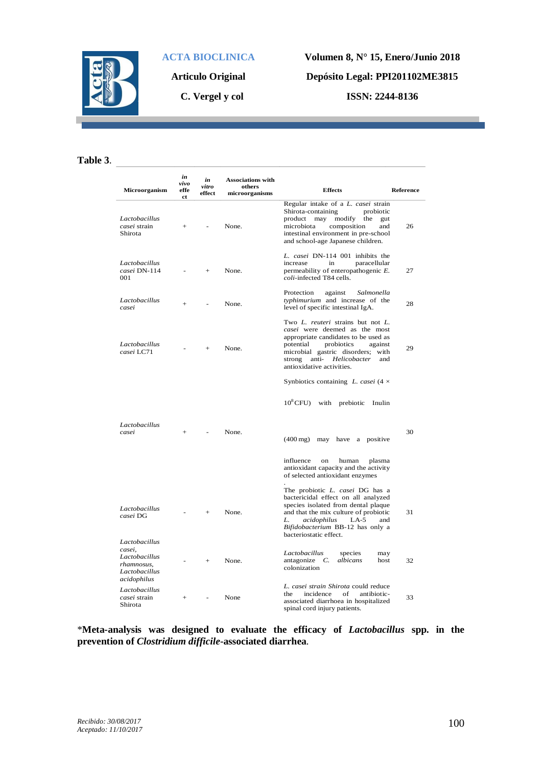

**Articulo Original**

**C. Vergel y col**

 $\overline{a}$ 

**Volumen 8, N° 15, Enero/Junio 2018 Depósito Legal: PPI201102ME3815 ISSN: 2244-8136**

**Table 3**.

| Microorganism                                                                          | in<br>vivo<br>effe<br>ct | in<br>vitro<br>effect | <b>Associations with</b><br>others<br>microorganisms | <b>Effects</b>                                                                                                                                                                                                                                               | <b>Reference</b> |
|----------------------------------------------------------------------------------------|--------------------------|-----------------------|------------------------------------------------------|--------------------------------------------------------------------------------------------------------------------------------------------------------------------------------------------------------------------------------------------------------------|------------------|
| Lactobacillus<br>casei strain<br>Shirota                                               | $^{+}$                   |                       | None.                                                | Regular intake of a L. casei strain<br>Shirota-containing<br>probiotic<br>product<br>may<br>modify<br>the<br>gut<br>microbiota<br>composition<br>and<br>intestinal environment in pre-school<br>and school-age Japanese children.                            | 26               |
| Lactobacillus<br>casei DN-114<br>001                                                   |                          | $^{+}$                | None.                                                | L. casei DN-114 001 inhibits the<br>increase<br>paracellular<br>in<br>permeability of enteropathogenic E.<br>coli-infected T84 cells.                                                                                                                        | 27               |
| Lactobacillus<br>casei                                                                 | $+$                      | $\overline{a}$        | None.                                                | Protection<br>against<br>Salmonella<br>typhimurium and increase of the<br>level of specific intestinal IgA.                                                                                                                                                  | 28               |
| Lactobacillus<br>casei LC71                                                            |                          | $^{+}$                | None.                                                | Two L. reuteri strains but not L.<br>casei were deemed as the most<br>appropriate candidates to be used as<br>potential<br>probiotics<br>against<br>microbial gastric disorders; with<br>strong<br>anti-<br>Helicobacter<br>and<br>antioxidative activities. | 29               |
|                                                                                        |                          |                       |                                                      | Synbiotics containing L. casei $(4 \times$                                                                                                                                                                                                                   |                  |
|                                                                                        |                          |                       |                                                      | $10^8$ CFU) with prebiotic<br>Inulin                                                                                                                                                                                                                         |                  |
| Lactobacillus<br>casei                                                                 | $^{+}$                   |                       | None.                                                | $(400 \,\mathrm{mg})$<br>may have a positive                                                                                                                                                                                                                 | 30               |
|                                                                                        |                          |                       |                                                      | influence<br>on<br>human<br>plasma<br>antioxidant capacity and the activity<br>of selected antioxidant enzymes                                                                                                                                               |                  |
| Lactobacillus<br>casei DG                                                              |                          | $^{+}$                | None.                                                | The probiotic L. casei DG has a<br>bactericidal effect on all analyzed<br>species isolated from dental plaque<br>and that the mix culture of probiotic<br>L.<br>acidophilus<br>$LA-5$<br>and<br>Bifidobacterium BB-12 has only a<br>bacteriostatic effect.   | 31               |
| Lactobacillus<br>casei,<br>Lactobacillus<br>rhamnosus,<br>Lactobacillus<br>acidophilus |                          | $^{+}$                | None.                                                | Lactobacillus<br>species<br>may<br>antagonize $C$ .<br>albicans<br>host<br>colonization                                                                                                                                                                      | 32               |
| Lactobacillus<br>casei strain<br>Shirota                                               | $^{+}$                   |                       | None                                                 | L. casei strain Shirota could reduce<br>the<br>incidence<br>of<br>antibiotic-<br>associated diarrhoea in hospitalized<br>spinal cord injury patients.                                                                                                        | 33               |

\***Meta-analysis was designed to evaluate the efficacy of** *Lactobacillus* **spp. in the prevention of** *Clostridium difficile***-associated diarrhea**.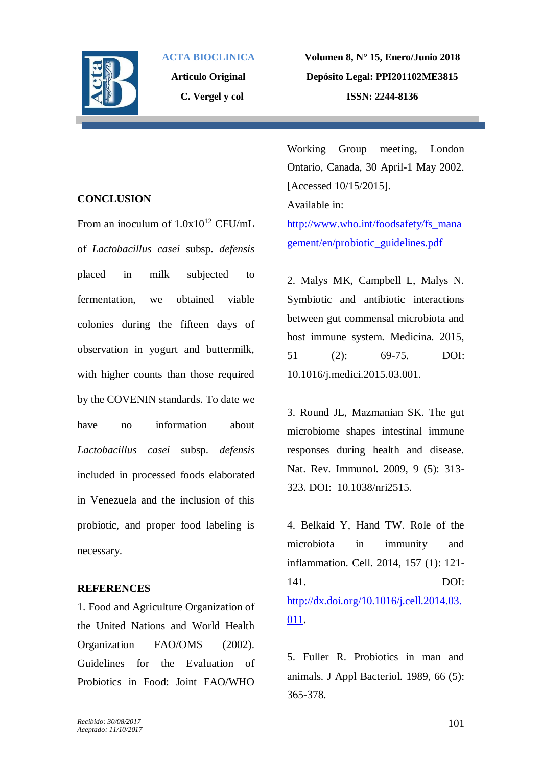

**Articulo Original C. Vergel y col**

**Volumen 8, N° 15, Enero/Junio 2018 Depósito Legal: PPI201102ME3815 ISSN: 2244-8136**

### **CONCLUSION**

From an inoculum of  $1.0x10^{12}$  CFU/mL of *Lactobacillus casei* subsp. *defensis* placed in milk subjected to fermentation, we obtained viable colonies during the fifteen days of observation in yogurt and buttermilk, with higher counts than those required by the COVENIN standards. To date we have no information about *Lactobacillus casei* subsp. *defensis* included in processed foods elaborated in Venezuela and the inclusion of this probiotic, and proper food labeling is necessary.

### **REFERENCES**

1. Food and Agriculture Organization of the United Nations and World Health Organization FAO/OMS (2002). Guidelines for the Evaluation of Probiotics in Food: Joint FAO/WHO

Working Group meeting, London Ontario, Canada, 30 April-1 May 2002. [Accessed 10/15/2015]. Available in:

[http://www.who.int/foodsafety/fs\\_mana](http://www.who.int/foodsafety/fs_management/en/probiotic_guidelines.pdf) [gement/en/probiotic\\_guidelines.pdf](http://www.who.int/foodsafety/fs_management/en/probiotic_guidelines.pdf)

2. Malys MK, Campbell L, Malys N. Symbiotic and antibiotic interactions between gut commensal microbiota and host immune system. Medicina. 2015, 51 (2): 69-75. DOI: 10.1016/j.medici.2015.03.001.

3. Round JL, Mazmanian SK. The gut microbiome shapes intestinal immune responses during health and disease. Nat. Rev. Immunol. 2009, 9 (5): 313- 323. DOI: 10.1038/nri2515.

4. Belkaid Y, Hand TW. Role of the microbiota in immunity and inflammation. Cell. 2014, 157 (1): 121- 141. DOI: [http://dx.doi.org/10.1016/j.cell.2014.03.](http://dx.doi.org/10.1016/j.cell.2014.03.011) [011.](http://dx.doi.org/10.1016/j.cell.2014.03.011)

5. Fuller R. Probiotics in man and animals. J Appl Bacteriol. 1989, 66 (5): 365-378.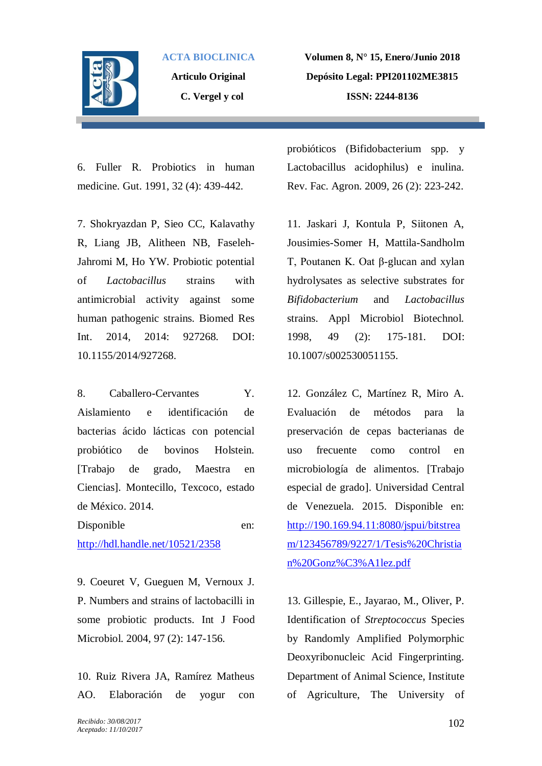

**Articulo Original C. Vergel y col**

**Volumen 8, N° 15, Enero/Junio 2018 Depósito Legal: PPI201102ME3815 ISSN: 2244-8136**

6. Fuller R. Probiotics in human medicine. Gut. 1991, 32 (4): 439-442.

7. Shokryazdan P, Sieo CC, Kalavathy R, Liang JB, Alitheen NB, Faseleh-Jahromi M, Ho YW. Probiotic potential of *Lactobacillus* strains with antimicrobial activity against some human pathogenic strains. Biomed Res Int. 2014, 2014: 927268. DOI: 10.1155/2014/927268.

8. Caballero-Cervantes Y. Aislamiento e identificación de bacterias ácido lácticas con potencial probiótico de bovinos Holstein. [Trabajo de grado, Maestra en Ciencias]. Montecillo, Texcoco, estado de México. 2014.

Disponible en: <http://hdl.handle.net/10521/2358>

9. Coeuret V, Gueguen M, Vernoux J. P. Numbers and strains of lactobacilli in some probiotic products. Int J Food Microbiol. 2004, 97 (2): 147-156.

10. Ruiz Rivera JA, Ramírez Matheus AO. Elaboración de yogur con

probióticos (Bifidobacterium spp. y Lactobacillus acidophilus) e inulina. Rev. Fac. Agron. 2009, 26 (2): 223-242.

11. Jaskari J, Kontula P, Siitonen A, Jousimies-Somer H, Mattila-Sandholm T, Poutanen K. Oat β-glucan and xylan hydrolysates as selective substrates for *Bifidobacterium* and *Lactobacillus* strains. Appl Microbiol Biotechnol. 1998, 49 (2): 175-181. DOI: 10.1007/s002530051155.

12. González C, Martínez R, Miro A. Evaluación de métodos para la preservación de cepas bacterianas de uso frecuente como control en microbiología de alimentos. [Trabajo especial de grado]. Universidad Central de Venezuela. 2015. Disponible en: [http://190.169.94.11:8080/jspui/bitstrea](http://190.169.94.11:8080/jspui/bitstream/123456789/9227/1/Tesis%20Christian%20Gonz%C3%A1lez.pdf) [m/123456789/9227/1/Tesis%20Christia](http://190.169.94.11:8080/jspui/bitstream/123456789/9227/1/Tesis%20Christian%20Gonz%C3%A1lez.pdf) [n%20Gonz%C3%A1lez.pdf](http://190.169.94.11:8080/jspui/bitstream/123456789/9227/1/Tesis%20Christian%20Gonz%C3%A1lez.pdf)

13. Gillespie, E., Jayarao, M., Oliver, P. Identification of *Streptococcus* Species by Randomly Amplified Polymorphic Deoxyribonucleic Acid Fingerprinting. Department of Animal Science, Institute of Agriculture, The University of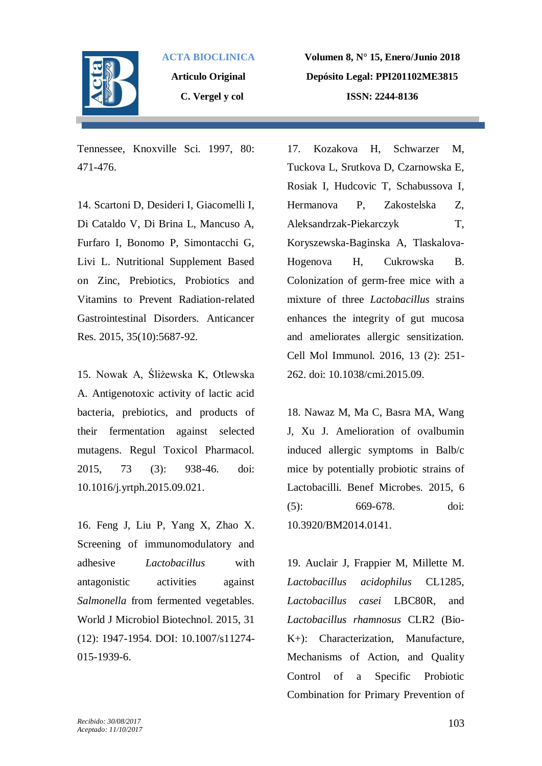

**Articulo Original C. Vergel y col**

**Volumen 8, N° 15, Enero/Junio 2018 Depósito Legal: PPI201102ME3815 ISSN: 2244-8136**

Tennessee, Knoxville Sci. 1997, 80: 471-476.

14. Scartoni D, Desideri I, Giacomelli I, Di Cataldo V, Di Brina L, Mancuso A, Furfaro I, Bonomo P, Simontacchi G, Livi L. Nutritional Supplement Based on Zinc, Prebiotics, Probiotics and Vitamins to Prevent Radiation-related Gastrointestinal Disorders. Anticancer Res. 2015, 35(10):5687-92.

15. Nowak A, Śliżewska K, Otlewska A. Antigenotoxic activity of lactic acid bacteria, prebiotics, and products of their fermentation against selected mutagens. Regul Toxicol Pharmacol. 2015, 73 (3): 938-46. doi: 10.1016/j.yrtph.2015.09.021.

16. Feng J, Liu P, Yang X, Zhao X. Screening of immunomodulatory and adhesive *Lactobacillus* with antagonistic activities against *Salmonella* from fermented vegetables. World J Microbiol Biotechnol. 2015, 31 (12): 1947-1954. DOI: 10.1007/s11274- 015-1939-6.

17. Kozakova H, Schwarzer M, Tuckova L, Srutkova D, Czarnowska E, Rosiak I, Hudcovic T, Schabussova I, Hermanova P, Zakostelska Z, Aleksandrzak-Piekarczyk T, Koryszewska-Baginska A, Tlaskalova-Hogenova H, Cukrowska B. Colonization of germ-free mice with a mixture of three *Lactobacillus* strains enhances the integrity of gut mucosa and ameliorates allergic sensitization. Cell Mol Immunol. 2016, 13 (2): 251- 262. doi: 10.1038/cmi.2015.09.

18. Nawaz M, Ma C, Basra MA, Wang J, Xu J. Amelioration of ovalbumin induced allergic symptoms in Balb/c mice by potentially probiotic strains of Lactobacilli. Benef Microbes. 2015, 6 (5): 669-678. doi: 10.3920/BM2014.0141.

19. Auclair J, Frappier M, Millette M. *Lactobacillus acidophilus* CL1285, *Lactobacillus casei* LBC80R, and *Lactobacillus rhamnosus* CLR2 (Bio-K+): Characterization, Manufacture, Mechanisms of Action, and Quality Control of a Specific Probiotic Combination for Primary Prevention of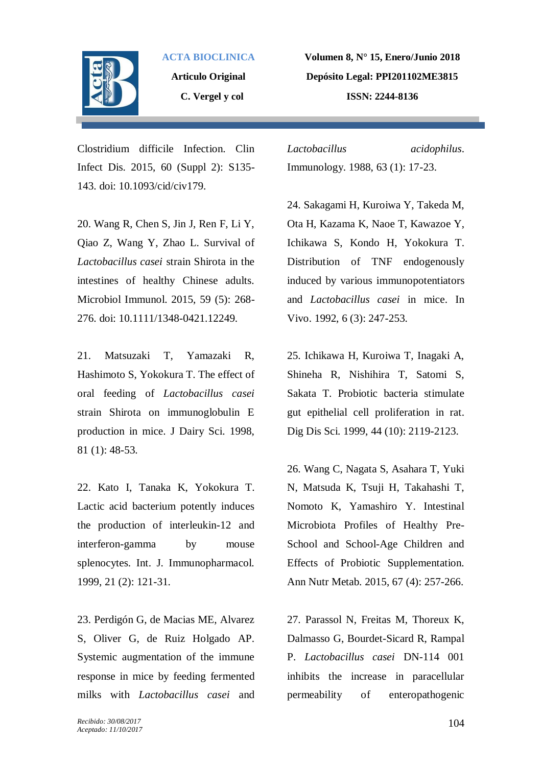

**Articulo Original C. Vergel y col**

**Volumen 8, N° 15, Enero/Junio 2018 Depósito Legal: PPI201102ME3815 ISSN: 2244-8136**

Clostridium difficile Infection. Clin Infect Dis. 2015, 60 (Suppl 2): S135- 143. doi: 10.1093/cid/civ179.

20. Wang R, Chen S, Jin J, Ren F, Li Y, Qiao Z, Wang Y, Zhao L. Survival of *Lactobacillus casei* strain Shirota in the intestines of healthy Chinese adults. Microbiol Immunol. 2015, 59 (5): 268- 276. doi: 10.1111/1348-0421.12249.

21. Matsuzaki T, Yamazaki R, Hashimoto S, Yokokura T. The effect of oral feeding of *Lactobacillus casei* strain Shirota on immunoglobulin E production in mice. J Dairy Sci. 1998, 81 (1): 48-53.

22. Kato I, Tanaka K, Yokokura T. Lactic acid bacterium potently induces the production of interleukin-12 and interferon-gamma by mouse splenocytes. Int. J. Immunopharmacol. 1999, 21 (2): 121-31.

23. Perdigón G, de Macias ME, Alvarez S, Oliver G, de Ruiz Holgado AP. Systemic augmentation of the immune response in mice by feeding fermented milks with *Lactobacillus casei* and *Lactobacillus acidophilus*. Immunology. 1988, 63 (1): 17-23.

24. Sakagami H, Kuroiwa Y, Takeda M, Ota H, Kazama K, Naoe T, Kawazoe Y, Ichikawa S, Kondo H, Yokokura T. Distribution of TNF endogenously induced by various immunopotentiators and *Lactobacillus casei* in mice. In Vivo. 1992, 6 (3): 247-253.

25. Ichikawa H, Kuroiwa T, Inagaki A, Shineha R, Nishihira T, Satomi S, Sakata T. Probiotic bacteria stimulate gut epithelial cell proliferation in rat. Dig Dis Sci. 1999, 44 (10): 2119-2123.

26. Wang C, Nagata S, Asahara T, Yuki N, Matsuda K, Tsuji H, Takahashi T, Nomoto K, Yamashiro Y. Intestinal Microbiota Profiles of Healthy Pre-School and School-Age Children and Effects of Probiotic Supplementation. Ann Nutr Metab. 2015, 67 (4): 257-266.

27. Parassol N, Freitas M, Thoreux K, Dalmasso G, Bourdet-Sicard R, Rampal P. *Lactobacillus casei* DN-114 001 inhibits the increase in paracellular permeability of enteropathogenic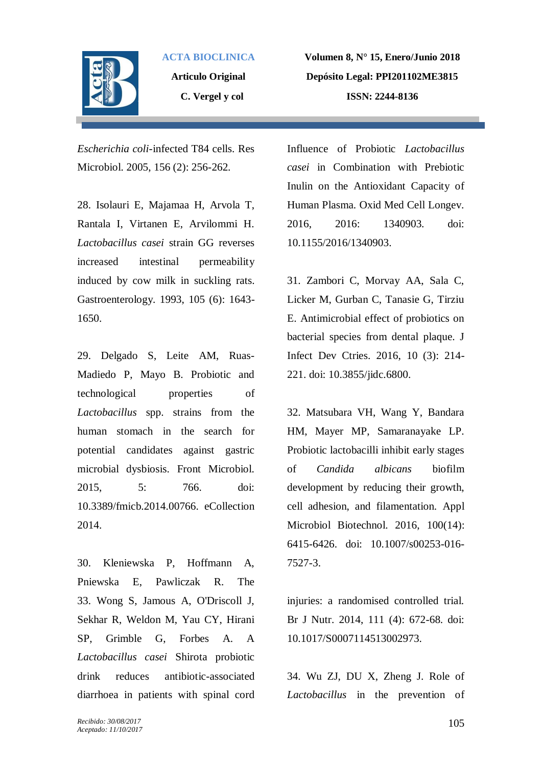

**Articulo Original C. Vergel y col**

**Volumen 8, N° 15, Enero/Junio 2018 Depósito Legal: PPI201102ME3815 ISSN: 2244-8136**

*Escherichia coli*-infected T84 cells. Res Microbiol. 2005, 156 (2): 256-262.

28. Isolauri E, Majamaa H, Arvola T, Rantala I, Virtanen E, Arvilommi H. *Lactobacillus casei* strain GG reverses increased intestinal permeability induced by cow milk in suckling rats. Gastroenterology. 1993, 105 (6): 1643- 1650.

29. Delgado S, Leite AM, Ruas-Madiedo P, Mayo B. Probiotic and technological properties of *Lactobacillus* spp. strains from the human stomach in the search for potential candidates against gastric microbial dysbiosis. Front Microbiol. 2015, 5: 766. doi: 10.3389/fmicb.2014.00766. eCollection 2014.

30. Kleniewska P, Hoffmann A, Pniewska E, Pawliczak R. The 33. Wong S, Jamous A, O'Driscoll J, Sekhar R, Weldon M, Yau CY, Hirani SP, Grimble G, Forbes A. A *Lactobacillus casei* Shirota probiotic drink reduces antibiotic-associated diarrhoea in patients with spinal cord

Influence of Probiotic *Lactobacillus casei* in Combination with Prebiotic Inulin on the Antioxidant Capacity of Human Plasma. Oxid Med Cell Longev. 2016, 2016: 1340903. doi: 10.1155/2016/1340903.

31. Zambori C, Morvay AA, Sala C, Licker M, Gurban C, Tanasie G, Tirziu E. Antimicrobial effect of probiotics on bacterial species from dental plaque. J Infect Dev Ctries. 2016, 10 (3): 214- 221. doi: 10.3855/jidc.6800.

32. Matsubara VH, Wang Y, Bandara HM, Mayer MP, Samaranayake LP. Probiotic lactobacilli inhibit early stages of *Candida albicans* biofilm development by reducing their growth, cell adhesion, and filamentation. Appl Microbiol Biotechnol. 2016, 100(14): 6415-6426. doi: 10.1007/s00253-016- 7527-3.

injuries: a randomised controlled trial. Br J Nutr. 2014, 111 (4): 672-68. doi: 10.1017/S0007114513002973.

34. Wu ZJ, DU X, Zheng J. Role of *Lactobacillus* in the prevention of